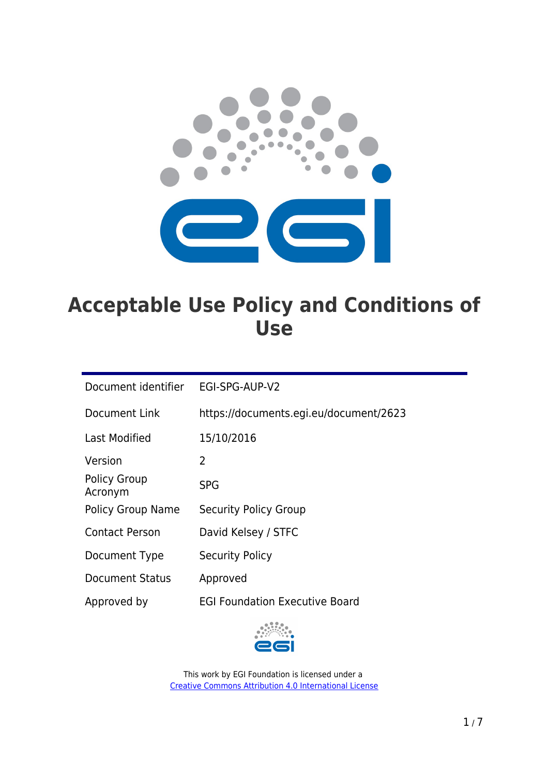

# **Acceptable Use Policy and Conditions of Use**

| Document identifier            | EGI-SPG-AUP-V2                         |
|--------------------------------|----------------------------------------|
| Document Link                  | https://documents.egi.eu/document/2623 |
| Last Modified                  | 15/10/2016                             |
| Version                        | $\overline{2}$                         |
| <b>Policy Group</b><br>Acronym | <b>SPG</b>                             |
| <b>Policy Group Name</b>       | Security Policy Group                  |
| Contact Person                 | David Kelsey / STFC                    |
| Document Type                  | <b>Security Policy</b>                 |
| <b>Document Status</b>         | Approved                               |
| Approved by                    | <b>EGI Foundation Executive Board</b>  |

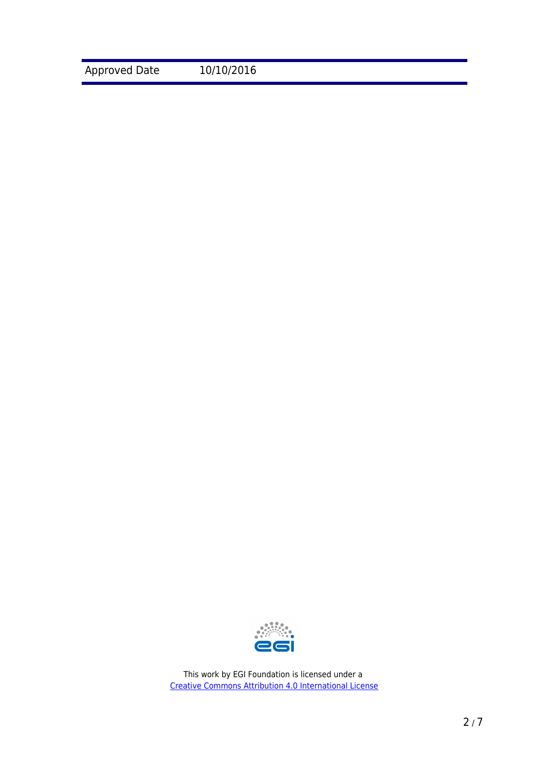Approved Date 10/10/2016

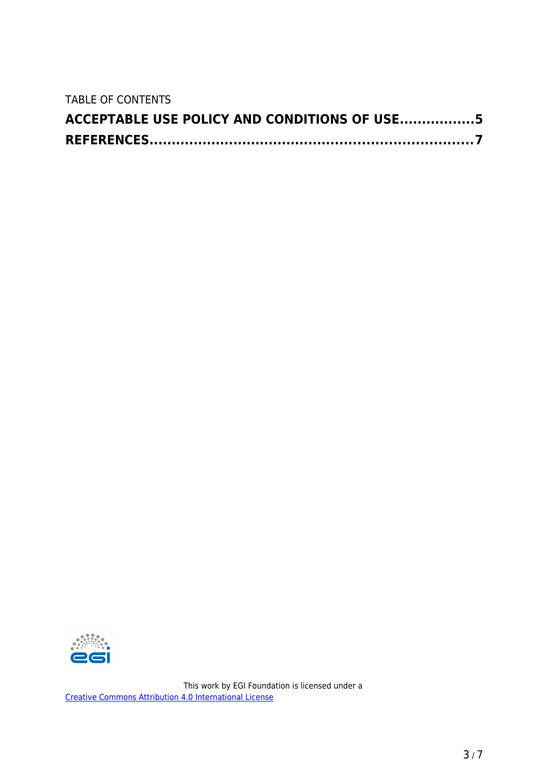TABLE OF CONTENTS

| ACCEPTABLE USE POLICY AND CONDITIONS OF USE5 |  |
|----------------------------------------------|--|
|                                              |  |

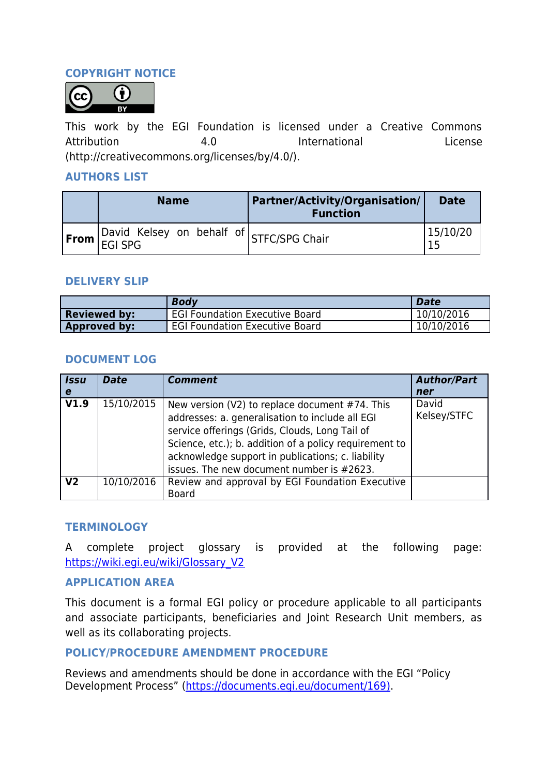## **COPYRIGHT NOTICE**



This work by the EGI Foundation is licensed under a Creative Commons Attribution **4.0** Attribution **Accord Activity** 1.0 International License (http://creativecommons.org/licenses/by/4.0/).

### **AUTHORS LIST**

| <b>Name</b>                                                         | <b>Partner/Activity/Organisation/</b><br><b>Function</b> | <b>Date</b> |
|---------------------------------------------------------------------|----------------------------------------------------------|-------------|
| $\left \text{From}\right $ David Kelsey on behalf of STFC/SPG Chair |                                                          | 15/10/20    |

#### **DELIVERY SLIP**

|                     | <b>Body</b>                           | <b>Date</b> |
|---------------------|---------------------------------------|-------------|
| <b>Reviewed by:</b> | <b>EGI Foundation Executive Board</b> | 10/10/2016  |
| Approved by:        | <b>EGI Foundation Executive Board</b> | 10/10/2016  |

#### **DOCUMENT LOG**

| <b>Issu</b><br>e. | <b>Date</b> | <b>Comment</b>                                                                                                                                                                                                                                                                                                  | <b>Author/Part</b><br>ner |
|-------------------|-------------|-----------------------------------------------------------------------------------------------------------------------------------------------------------------------------------------------------------------------------------------------------------------------------------------------------------------|---------------------------|
| V1.9              | 15/10/2015  | New version (V2) to replace document #74. This<br>addresses: a. generalisation to include all EGI<br>service offerings (Grids, Clouds, Long Tail of<br>Science, etc.); b. addition of a policy requirement to<br>acknowledge support in publications; c. liability<br>issues. The new document number is #2623. | David<br>Kelsey/STFC      |
| V <sub>2</sub>    | 10/10/2016  | Review and approval by EGI Foundation Executive<br><b>Board</b>                                                                                                                                                                                                                                                 |                           |

#### **TERMINOLOGY**

A complete project glossary is provided at the following page: [https://wiki.egi.eu/wiki/Glossary\\_V2](https://wiki.egi.eu/wiki/Glossary_V2)

#### **APPLICATION AREA**

This document is a formal EGI policy or procedure applicable to all participants and associate participants, beneficiaries and Joint Research Unit members, as well as its collaborating projects.

## **POLICY/PROCEDURE AMENDMENT PROCEDURE**

Reviews and amendments should be done in accordance with the EGI "Policy Development Process" (https://documents.egi.eu/document/169).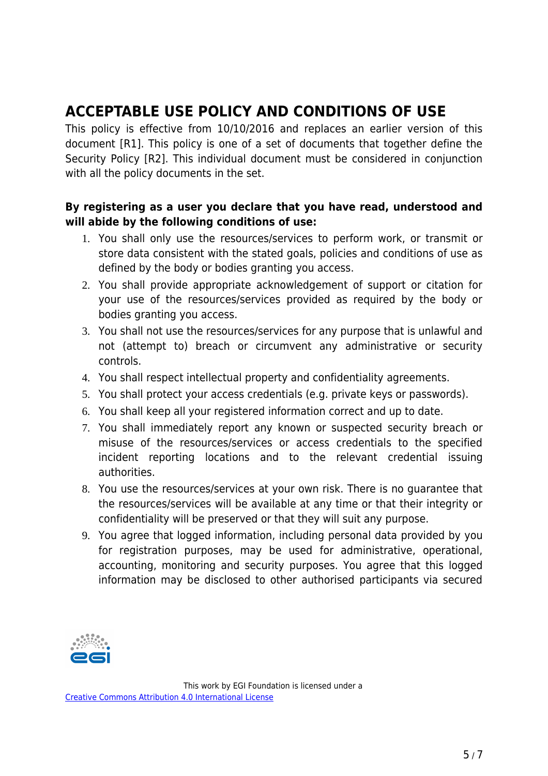# **ACCEPTABLE USE POLICY AND CONDITIONS OF USE**

This policy is effective from 10/10/2016 and replaces an earlier version of this document [R1]. This policy is one of a set of documents that together define the Security Policy [R2]. This individual document must be considered in conjunction with all the policy documents in the set.

# **By registering as a user you declare that you have read, understood and will abide by the following conditions of use:**

- 1. You shall only use the resources/services to perform work, or transmit or store data consistent with the stated goals, policies and conditions of use as defined by the body or bodies granting you access.
- 2. You shall provide appropriate acknowledgement of support or citation for your use of the resources/services provided as required by the body or bodies granting you access.
- 3. You shall not use the resources/services for any purpose that is unlawful and not (attempt to) breach or circumvent any administrative or security controls.
- 4. You shall respect intellectual property and confidentiality agreements.
- 5. You shall protect your access credentials (e.g. private keys or passwords).
- 6. You shall keep all your registered information correct and up to date.
- 7. You shall immediately report any known or suspected security breach or misuse of the resources/services or access credentials to the specified incident reporting locations and to the relevant credential issuing authorities.
- 8. You use the resources/services at your own risk. There is no guarantee that the resources/services will be available at any time or that their integrity or confidentiality will be preserved or that they will suit any purpose.
- 9. You agree that logged information, including personal data provided by you for registration purposes, may be used for administrative, operational, accounting, monitoring and security purposes. You agree that this logged information may be disclosed to other authorised participants via secured

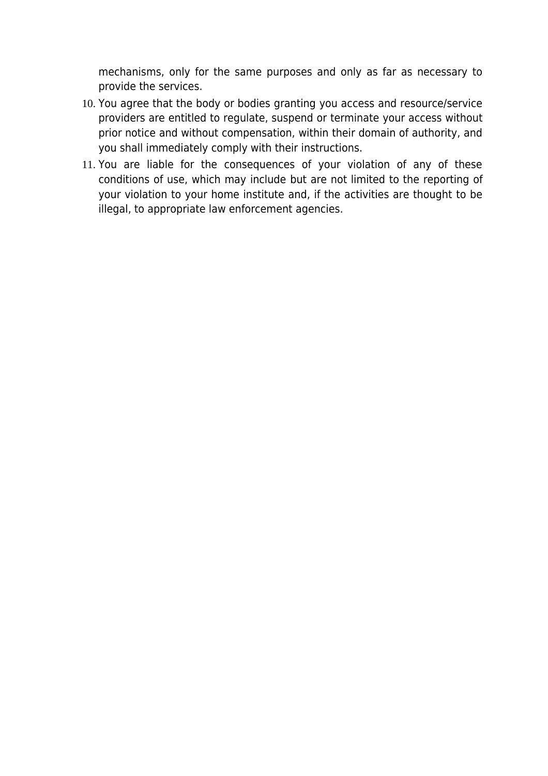mechanisms, only for the same purposes and only as far as necessary to provide the services.

- 10. You agree that the body or bodies granting you access and resource/service providers are entitled to regulate, suspend or terminate your access without prior notice and without compensation, within their domain of authority, and you shall immediately comply with their instructions.
- 11. You are liable for the consequences of your violation of any of these conditions of use, which may include but are not limited to the reporting of your violation to your home institute and, if the activities are thought to be illegal, to appropriate law enforcement agencies.